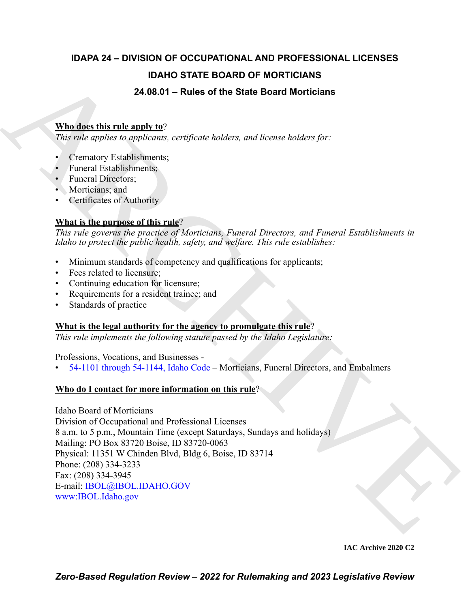### **IDAPA 24 – DIVISION OF OCCUPATIONAL AND PROFESSIONAL LICENSES IDAHO STATE BOARD OF MORTICIANS 24.08.01 – Rules of the State Board Morticians**

#### **Who does this rule apply to**?

*This rule applies to applicants, certificate holders, and license holders for:*

- Crematory Establishments;
- Funeral Establishments;
- Funeral Directors:
- Morticians; and
- Certificates of Authority

#### **What is the purpose of this rule**?

*This rule governs the practice of Morticians, Funeral Directors, and Funeral Establishments in Idaho to protect the public health, safety, and welfare. This rule establishes:*

- Minimum standards of competency and qualifications for applicants;
- Fees related to licensure;
- Continuing education for licensure;
- Requirements for a resident trainee; and
- Standards of practice

#### **What is the legal authority for the agency to promulgate this rule**?

*This rule implements the following statute passed by the Idaho Legislature:*

Professions, Vocations, and Businesses -

• 54-1101 through 54-1144, Idaho Code – Morticians, Funeral Directors, and Embalmers

#### **Who do I contact for more information on this rule**?

**IDA[H](https://legislature.idaho.gov/statutesrules/idstat/Title54/T54CH11/)O STATE BOARD OF MORTICIANS**<br>
24.08.01 – Rules of the State Board Morticlans<br>
Murdiers this relation properties certained bulders, and linear cholders for<br>
7bis relationships certains certains and<br>
1. Certainty Enter Idaho Board of Morticians Division of Occupational and Professional Licenses 8 a.m. to 5 p.m., Mountain Time (except Saturdays, Sundays and holidays) Mailing: PO Box 83720 Boise, ID 83720-0063 Physical: 11351 W Chinden Blvd, Bldg 6, Boise, ID 83714 Phone: (208) 334-3233 Fax: (208) 334-3945 E-mail: IBOL@IBOL.IDAHO.GOV www:IBOL.Idaho.gov

**IAC Archive 2020 C2**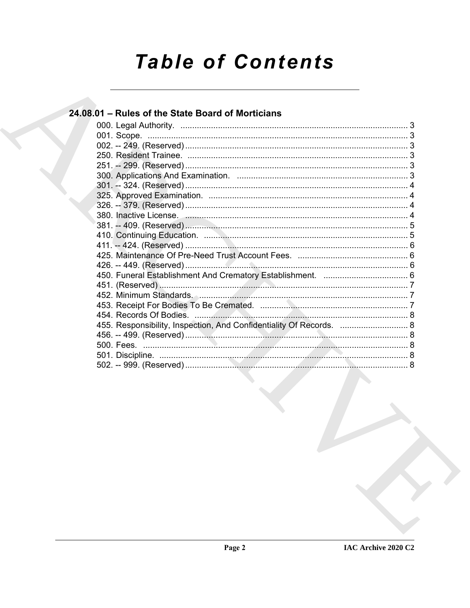# **Table of Contents**

#### 24.08.01 - Rules of the State Board of Morticians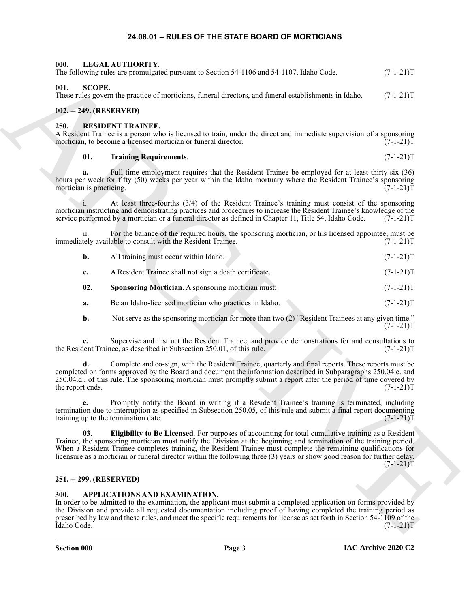#### <span id="page-2-8"></span>**24.08.01 – RULES OF THE STATE BOARD OF MORTICIANS**

<span id="page-2-0"></span>

| 000.                           | LEGAL AUTHORITY.<br>The following rules are promulgated pursuant to Section 54-1106 and 54-1107, Idaho Code.                                                                                                                                                                                                                                                                                                                                                             | $(7-1-21)T$ |
|--------------------------------|--------------------------------------------------------------------------------------------------------------------------------------------------------------------------------------------------------------------------------------------------------------------------------------------------------------------------------------------------------------------------------------------------------------------------------------------------------------------------|-------------|
| 001.<br><b>SCOPE.</b>          | These rules govern the practice of morticians, funeral directors, and funeral establishments in Idaho.                                                                                                                                                                                                                                                                                                                                                                   | $(7-1-21)T$ |
| 002. -- 249. (RESERVED)        |                                                                                                                                                                                                                                                                                                                                                                                                                                                                          |             |
| 250.                           | <b>RESIDENT TRAINEE.</b><br>A Resident Trainee is a person who is licensed to train, under the direct and immediate supervision of a sponsoring<br>mortician, to become a licensed mortician or funeral director.                                                                                                                                                                                                                                                        | $(7-1-21)T$ |
| 01.                            | <b>Training Requirements.</b>                                                                                                                                                                                                                                                                                                                                                                                                                                            | $(7-1-21)T$ |
| a.<br>mortician is practicing. | Full-time employment requires that the Resident Trainee be employed for at least thirty-six (36)<br>hours per week for fifty (50) weeks per year within the Idaho mortuary where the Resident Trainee's sponsoring                                                                                                                                                                                                                                                       | $(7-1-21)T$ |
| 1.                             | At least three-fourths (3/4) of the Resident Trainee's training must consist of the sponsoring<br>mortician instructing and demonstrating practices and procedures to increase the Resident Trainee's knowledge of the<br>service performed by a mortician or a funeral director as defined in Chapter 11, Title 54, Idaho Code.                                                                                                                                         | $(7-1-21)T$ |
| 11.                            | For the balance of the required hours, the sponsoring mortician, or his licensed appointee, must be<br>immediately available to consult with the Resident Trainee.                                                                                                                                                                                                                                                                                                       | $(7-1-21)T$ |
| b.                             | All training must occur within Idaho.                                                                                                                                                                                                                                                                                                                                                                                                                                    | $(7-1-21)T$ |
| c.                             | A Resident Trainee shall not sign a death certificate.                                                                                                                                                                                                                                                                                                                                                                                                                   | $(7-1-21)T$ |
| 02.                            | Sponsoring Mortician. A sponsoring mortician must:                                                                                                                                                                                                                                                                                                                                                                                                                       | $(7-1-21)T$ |
| a.                             | Be an Idaho-licensed mortician who practices in Idaho.                                                                                                                                                                                                                                                                                                                                                                                                                   | $(7-1-21)T$ |
| b.                             | Not serve as the sponsoring mortician for more than two (2) "Resident Trainees at any given time."                                                                                                                                                                                                                                                                                                                                                                       | $(7-1-21)T$ |
|                                | Supervise and instruct the Resident Trainee, and provide demonstrations for and consultations to<br>the Resident Trainee, as described in Subsection 250.01, of this rule.                                                                                                                                                                                                                                                                                               | $(7-1-21)T$ |
| d.<br>the report ends.         | Complete and co-sign, with the Resident Trainee, quarterly and final reports. These reports must be<br>completed on forms approved by the Board and document the information described in Subparagraphs 250.04.c. and<br>250.04.d., of this rule. The sponsoring mortician must promptly submit a report after the period of time covered by                                                                                                                             | $(7-1-21)T$ |
| e.                             | Promptly notify the Board in writing if a Resident Trainee's training is terminated, including<br>termination due to interruption as specified in Subsection 250.05, of this rule and submit a final report documenting<br>training up to the termination date.                                                                                                                                                                                                          | $(7-1-21)T$ |
| 03.                            | Eligibility to Be Licensed. For purposes of accounting for total cumulative training as a Resident<br>Trainee, the sponsoring mortician must notify the Division at the beginning and termination of the training period.<br>When a Resident Trainee completes training, the Resident Trainee must complete the remaining qualifications for<br>licensure as a mortician or funeral director within the following three (3) years or show good reason for further delay. | $(7-1-21)T$ |
| 251. -- 299. (RESERVED)        |                                                                                                                                                                                                                                                                                                                                                                                                                                                                          |             |
| 300.<br>Idaho Code.            | APPLICATIONS AND EXAMINATION.<br>In order to be admitted to the examination, the applicant must submit a completed application on forms provided by<br>the Division and provide all requested documentation including proof of having completed the training period as<br>prescribed by law and these rules, and meet the specific requirements for license as set forth in Section 54-1109 of the                                                                       | $(7-1-21)T$ |

#### <span id="page-2-3"></span><span id="page-2-2"></span><span id="page-2-1"></span>**002. -- 249. (RESERVED)**

#### <span id="page-2-12"></span><span id="page-2-9"></span><span id="page-2-4"></span>**250. RESIDENT TRAINEE.**

| b. | All training must occur within Idaho. |  |  | $(7-1-21)T$ |
|----|---------------------------------------|--|--|-------------|
|----|---------------------------------------|--|--|-------------|

- <span id="page-2-11"></span>**a.** Be an Idaho-licensed mortician who practices in Idaho. (7-1-21) T
- **b.** Not serve as the sponsoring mortician for more than two (2) "Resident Trainees at any given time."  $(7-1-21)T$

#### <span id="page-2-10"></span><span id="page-2-5"></span>**251. -- 299. (RESERVED)**

#### <span id="page-2-7"></span><span id="page-2-6"></span>**300. APPLICATIONS AND EXAMINATION.**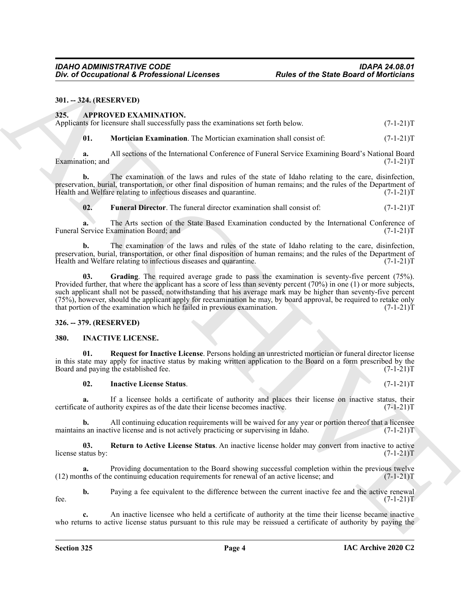#### <span id="page-3-0"></span>**301. -- 324. (RESERVED)**

#### <span id="page-3-4"></span><span id="page-3-1"></span>**325. APPROVED EXAMINATION.**

|  |  |  | Applicants for licensure shall successfully pass the examinations set forth below. |  | $(7-1-21)T$ |  |
|--|--|--|------------------------------------------------------------------------------------|--|-------------|--|
|--|--|--|------------------------------------------------------------------------------------|--|-------------|--|

<span id="page-3-7"></span>**01. Mortician Examination**. The Mortician examination shall consist of: (7-1-21)T

**a.** All sections of the International Conference of Funeral Service Examining Board's National Board Examination; and (7-1-21)T

**b.** The examination of the laws and rules of the state of Idaho relating to the care, disinfection, preservation, burial, transportation, or other final disposition of human remains; and the rules of the Department of Health and Welfare relating to infectious diseases and quarantine. (7-1-21)T

<span id="page-3-5"></span>**02. Funeral Director**. The funeral director examination shall consist of: (7-1-21)T

**a.** The Arts section of the State Based Examination conducted by the International Conference of Funeral Service Examination Board; and (7-1-21)T

<span id="page-3-6"></span>**b.** The examination of the laws and rules of the state of Idaho relating to the care, disinfection, preservation, burial, transportation, or other final disposition of human remains; and the rules of the Department of Health and Welfare relating to infectious diseases and quarantine. (7-1-21) Health and Welfare relating to infectious diseases and quarantine.

**EVALUATION: FACTOR CONTROL Reading Control in the State Board of Modelships**<br>
MILES 23. **APPROVED EXAMENTION:**<br>
APPROVED EXAMENTION:<br>
APPROVED EXAMENTION:<br>
APPROVED EXAMENTION:<br> **APPROVED EXAMENTION:**<br> **APPROVED EXAM 03. Grading**. The required average grade to pass the examination is seventy-five percent (75%). Provided further, that where the applicant has a score of less than seventy percent (70%) in one (1) or more subjects, such applicant shall not be passed, notwithstanding that his average mark may be higher than seventy-five percent (75%), however, should the applicant apply for reexamination he may, by board approval, be required to retake only that portion of the examination which he failed in previous examination.  $(7-1-21)$ T

#### <span id="page-3-2"></span>**326. -- 379. (RESERVED)**

#### <span id="page-3-8"></span><span id="page-3-3"></span>**380. INACTIVE LICENSE.**

**01. Request for Inactive License**. Persons holding an unrestricted mortician or funeral director license in this state may apply for inactive status by making written application to the Board on a form prescribed by the Board and paying the established fee. (7-1-21) Board and paying the established fee.

#### <span id="page-3-10"></span><span id="page-3-9"></span>**02. Inactive License Status**. (7-1-21)T

**a.** If a licensee holds a certificate of authority and places their license on inactive status, their certificate of authority expires as of the date their license becomes inactive. (7-1-21)T

**b.** All continuing education requirements will be waived for any year or portion thereof that a licensee s an inactive license and is not actively practicing or supervising in Idaho.  $(7-1-21)$ maintains an inactive license and is not actively practicing or supervising in Idaho.

<span id="page-3-11"></span>**03. Return to Active License Status**. An inactive license holder may convert from inactive to active license status by: (7-1-21)T

**a.** Providing documentation to the Board showing successful completion within the previous twelve this of the continuing education requirements for renewal of an active license; and  $(7-1-21)$  $(12)$  months of the continuing education requirements for renewal of an active license; and

**b.** Paying a fee equivalent to the difference between the current inactive fee and the active renewal  $(7-1-21)$ T fee.  $(7-1-21)T$ 

**c.** An inactive licensee who held a certificate of authority at the time their license became inactive who returns to active license status pursuant to this rule may be reissued a certificate of authority by paying the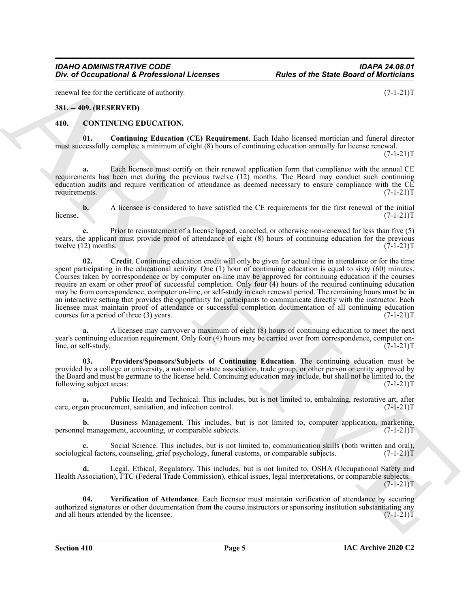renewal fee for the certificate of authority. (7-1-21)T

#### <span id="page-4-0"></span>**381. -- 409. (RESERVED)**

#### <span id="page-4-3"></span><span id="page-4-2"></span><span id="page-4-1"></span>**410. CONTINUING EDUCATION.**

**01. Continuing Education (CE) Requirement**. Each Idaho licensed mortician and funeral director must successfully complete a minimum of eight (8) hours of continuing education annually for license renewal.

 $(7-1-21)T$ 

**a.** Each licensee must certify on their renewal application form that compliance with the annual CE requirements has been met during the previous twelve (12) months. The Board may conduct such continuing education audits and require verification of attendance as deemed necessary to ensure compliance with the CE requirements. (7-1-21)T

**b.** A licensee is considered to have satisfied the CE requirements for the first renewal of the initial  $(7-1-21)$  $l$  (7-1-21)T

<span id="page-4-4"></span>**c.** Prior to reinstatement of a license lapsed, canceled, or otherwise non-renewed for less than five (5) years, the applicant must provide proof of attendance of eight (8) hours of continuing education for the previous twelve  $(12)$  months.  $(7-1-21)$ twelve  $(12)$  months.

The definition of the contents of the contents of the State Board of Moritimes<br>
Archives the contents of the contents of the contents of the contents of the contents of the contents of the contents of the contents of the **02. Credit**. Continuing education credit will only be given for actual time in attendance or for the time spent participating in the educational activity. One (1) hour of continuing education is equal to sixty (60) minutes. Courses taken by correspondence or by computer on-line may be approved for continuing education if the courses require an exam or other proof of successful completion. Only four (4) hours of the required continuing education may be from correspondence, computer on-line, or self-study in each renewal period. The remaining hours must be in an interactive setting that provides the opportunity for participants to communicate directly with the instructor. Each licensee must maintain proof of attendance or successful completion documentation of all continuing education courses for a period of three (3) years.  $(7-1-21)$ T

**a.** A licensee may carryover a maximum of eight (8) hours of continuing education to meet the next year's continuing education requirement. Only four (4) hours may be carried over from correspondence, computer online, or self-study. (7-1-21)T

<span id="page-4-5"></span>**03. Providers/Sponsors/Subjects of Continuing Education**. The continuing education must be provided by a college or university, a national or state association, trade group, or other person or entity approved by the Board and must be germane to the license held. Continuing education may include, but shall not be limited to, the following subject areas: (7-1-21)T

**a.** Public Health and Technical. This includes, but is not limited to, embalming, restorative art, after care, organ procurement, sanitation, and infection control. (7-1-21)T

**b.** Business Management. This includes, but is not limited to, computer application, marketing, l'ananagement, accounting, or comparable subjects. (7-1-21) personnel management, accounting, or comparable subjects.

**c.** Social Science. This includes, but is not limited to, communication skills (both written and oral), sociological factors, counseling, grief psychology, funeral customs, or comparable subjects.  $(7-1-21)$ T

**d.** Legal, Ethical, Regulatory. This includes, but is not limited to, OSHA (Occupational Safety and Health Association), FTC (Federal Trade Commission), ethical issues, legal interpretations, or comparable subjects.  $(7-1-21)T$ 

<span id="page-4-6"></span>**04. Verification of Attendance**. Each licensee must maintain verification of attendance by securing authorized signatures or other documentation from the course instructors or sponsoring institution substantiating any and all hours attended by the licensee.  $(7-1-21)$ T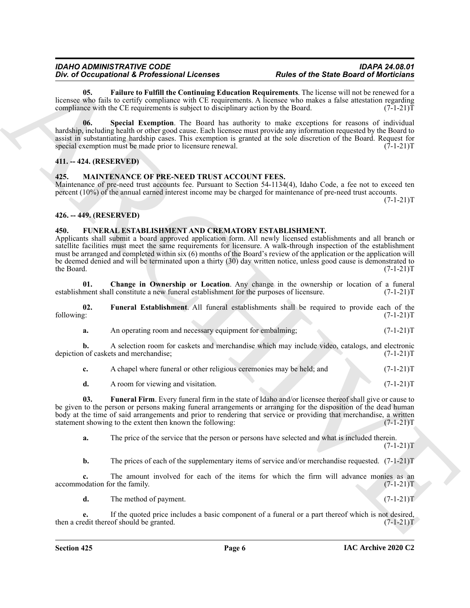#### *IDAHO ADMINISTRATIVE CODE IDAPA 24.08.01* **Div. of Occupational & Professional Licenses**

<span id="page-5-4"></span>**05. Failure to Fulfill the Continuing Education Requirements**. The license will not be renewed for a licensee who fails to certify compliance with CE requirements. A licensee who makes a false attestation regarding compliance with the CE requirements is subject to disciplinary action by the Board. (7-1-21) compliance with the CE requirements is subject to disciplinary action by the Board.

<span id="page-5-5"></span>**06. Special Exemption**. The Board has authority to make exceptions for reasons of individual hardship, including health or other good cause. Each licensee must provide any information requested by the Board to assist in substantiating hardship cases. This exemption is granted at the sole discretion of the Board. Request for special exemption must be made prior to licensure renewal. (7-1-21) special exemption must be made prior to licensure renewal.

#### <span id="page-5-0"></span>**411. -- 424. (RESERVED)**

#### <span id="page-5-10"></span><span id="page-5-1"></span>**425. MAINTENANCE OF PRE-NEED TRUST ACCOUNT FEES.**

Maintenance of pre-need trust accounts fee. Pursuant to Section 54-1134(4), Idaho Code, a fee not to exceed ten percent (10%) of the annual earned interest income may be charged for maintenance of pre-need trust accounts.

 $(7-1-21)T$ 

#### <span id="page-5-2"></span>**426. -- 449. (RESERVED)**

#### <span id="page-5-6"></span><span id="page-5-3"></span>**450. FUNERAL ESTABLISHMENT AND CREMATORY ESTABLISHMENT.**

Div. of Decomposition of Everybeirant Lebenston Human Incident of the Batter of the Continent Continent Lebenston Human Incident Continent Continent Continent Continent Continent Continent Continent Continent Continent Co Applicants shall submit a board approved application form. All newly licensed establishments and all branch or satellite facilities must meet the same requirements for licensure. A walk-through inspection of the establishment must be arranged and completed within six (6) months of the Board's review of the application or the application will be deemed denied and will be terminated upon a thirty (30) day written notice, unless good cause is demonstrated to the Board. (7-1-21) the Board. (7-1-21)T

<span id="page-5-7"></span>**01.** Change in Ownership or Location. Any change in the ownership or location of a funeral ment shall constitute a new funeral establishment for the purposes of licensure. (7-1-21) establishment shall constitute a new funeral establishment for the purposes of licensure.

**02.** Funeral Establishment. All funeral establishments shall be required to provide each of the following:  $(7-1-21)T$ following: (7-1-21)T

<span id="page-5-8"></span>**a.** An operating room and necessary equipment for embalming;  $(7-1-21)T$ 

**b.** A selection room for caskets and merchandise which may include video, catalogs, and electronic 1 of caskets and merchandise; (7-1-21) depiction of caskets and merchandise;

| A chapel where funeral or other religious ceremonies may be held: and |  | $(7-1-21)T$ |
|-----------------------------------------------------------------------|--|-------------|
|                                                                       |  |             |

<span id="page-5-9"></span>**d.** A room for viewing and visitation. (7-1-21)T

**03. Funeral Firm**. Every funeral firm in the state of Idaho and/or licensee thereof shall give or cause to be given to the person or persons making funeral arrangements or arranging for the disposition of the dead human body at the time of said arrangements and prior to rendering that service or providing that merchandise, a written statement showing to the extent then known the following: (7-1-21) statement showing to the extent then known the following:

**a.** The price of the service that the person or persons have selected and what is included therein.  $(7-1-21)T$ 

**b.** The prices of each of the supplementary items of service and/or merchandise requested.  $(7-1-21)$ T

**c.** The amount involved for each of the items for which the firm will advance monies as an  $\alpha$  accommodation for the family. (7-1-21)T

**d.** The method of payment. (7-1-21)T

**e.** If the quoted price includes a basic component of a funeral or a part thereof which is not desired, edit thereof should be granted. (7-1-21)<sup>T</sup> then a credit thereof should be granted.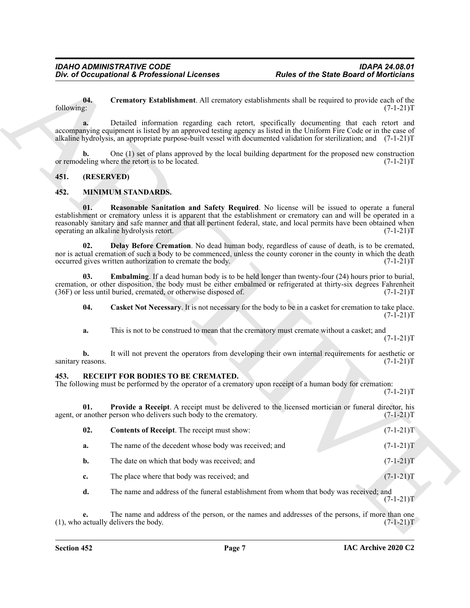#### <span id="page-6-3"></span><span id="page-6-0"></span>**451. (RESERVED)**

#### <span id="page-6-8"></span><span id="page-6-7"></span><span id="page-6-6"></span><span id="page-6-4"></span><span id="page-6-1"></span>**452. MINIMUM STANDARDS.**

#### <span id="page-6-11"></span><span id="page-6-10"></span><span id="page-6-9"></span><span id="page-6-5"></span><span id="page-6-2"></span>**453. RECEIPT FOR BODIES TO BE CREMATED.**

|                         | Div. of Occupational & Professional Licenses                                                                                                     | <b>Rules of the State Board of Morticians</b>                                                                                                                                                                                                                                                                                                                 |
|-------------------------|--------------------------------------------------------------------------------------------------------------------------------------------------|---------------------------------------------------------------------------------------------------------------------------------------------------------------------------------------------------------------------------------------------------------------------------------------------------------------------------------------------------------------|
| 04.<br>following:       |                                                                                                                                                  | Crematory Establishment. All crematory establishments shall be required to provide each of the<br>$(7-1-21)T$                                                                                                                                                                                                                                                 |
|                         |                                                                                                                                                  | Detailed information regarding each retort, specifically documenting that each retort and<br>accompanying equipment is listed by an approved testing agency as listed in the Uniform Fire Code or in the case of<br>alkaline hydrolysis, an appropriate purpose-built vessel with documented validation for sterilization; and (7-1-21)T                      |
| b.                      | or remodeling where the retort is to be located.                                                                                                 | One (1) set of plans approved by the local building department for the proposed new construction<br>$(7-1-21)T$                                                                                                                                                                                                                                               |
| 451.                    | (RESERVED)                                                                                                                                       |                                                                                                                                                                                                                                                                                                                                                               |
| 452.                    | <b>MINIMUM STANDARDS.</b>                                                                                                                        |                                                                                                                                                                                                                                                                                                                                                               |
| 01.                     | operating an alkaline hydrolysis retort.                                                                                                         | <b>Reasonable Sanitation and Safety Required.</b> No license will be issued to operate a funeral<br>establishment or crematory unless it is apparent that the establishment or crematory can and will be operated in a<br>reasonably sanitary and safe manner and that all pertinent federal, state, and local permits have been obtained when<br>$(7-1-21)T$ |
| 02.                     | occurred gives written authorization to cremate the body.                                                                                        | Delay Before Cremation. No dead human body, regardless of cause of death, is to be cremated,<br>nor is actual cremation of such a body to be commenced, unless the county coroner in the county in which the death<br>$(7-1-21)T$                                                                                                                             |
| 03.                     | (36F) or less until buried, cremated, or otherwise disposed of.                                                                                  | <b>Embalming.</b> If a dead human body is to be held longer than twenty-four (24) hours prior to burial,<br>cremation, or other disposition, the body must be either embalmed or refrigerated at thirty-six degrees Fahrenheit<br>$(7-1-21)T$                                                                                                                 |
| 04.                     |                                                                                                                                                  | Casket Not Necessary. It is not necessary for the body to be in a casket for cremation to take place.<br>$(7-1-21)T$                                                                                                                                                                                                                                          |
| a.                      | This is not to be construed to mean that the crematory must cremate without a casket; and                                                        | $(7-1-21)T$                                                                                                                                                                                                                                                                                                                                                   |
| b.<br>sanitary reasons. |                                                                                                                                                  | It will not prevent the operators from developing their own internal requirements for aesthetic or<br>$(7-1-21)T$                                                                                                                                                                                                                                             |
| 453.                    | RECEIPT FOR BODIES TO BE CREMATED.<br>The following must be performed by the operator of a crematory upon receipt of a human body for cremation: | $(7-1-21)T$                                                                                                                                                                                                                                                                                                                                                   |
| 01.                     | agent, or another person who delivers such body to the crematory.                                                                                | Provide a Receipt. A receipt must be delivered to the licensed mortician or funeral director, his<br>$(7-1-21)T$                                                                                                                                                                                                                                              |
| 02.                     | Contents of Receipt. The receipt must show:                                                                                                      | $(7-1-21)T$                                                                                                                                                                                                                                                                                                                                                   |
| a.                      | The name of the decedent whose body was received; and                                                                                            | $(7-1-21)T$                                                                                                                                                                                                                                                                                                                                                   |
| b.                      | The date on which that body was received; and                                                                                                    | $(7-1-21)T$                                                                                                                                                                                                                                                                                                                                                   |
| c.                      | The place where that body was received; and                                                                                                      | $(7-1-21)T$                                                                                                                                                                                                                                                                                                                                                   |
| d.                      |                                                                                                                                                  | The name and address of the funeral establishment from whom that body was received; and<br>$(7-1-21)T$                                                                                                                                                                                                                                                        |
|                         |                                                                                                                                                  | The name and address of the person, or the names and addresses of the persons, if more than one                                                                                                                                                                                                                                                               |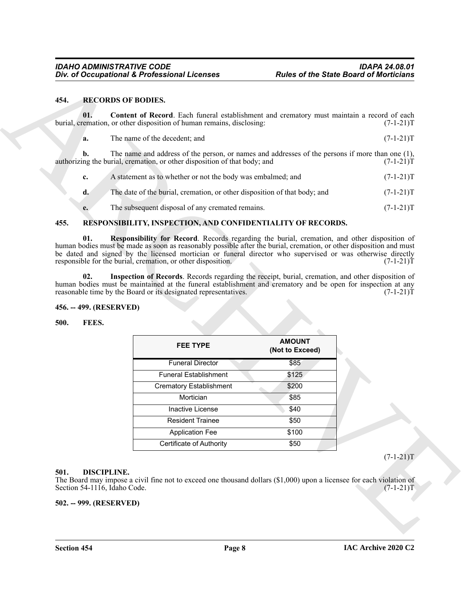#### <span id="page-7-8"></span><span id="page-7-0"></span>**454. RECORDS OF BODIES.**

<span id="page-7-9"></span>

|  | The name of the decedent: and | $(7-1-21)T$ |
|--|-------------------------------|-------------|
|  |                               |             |

| c.             | A statement as to whether or not the body was embalmed; and               | $(7-1-21)T$ |
|----------------|---------------------------------------------------------------------------|-------------|
| d.             | The date of the burial, cremation, or other disposition of that body; and | $(7-1-21)T$ |
| $\mathbf{e}$ . | The subsequent disposal of any cremated remains.                          | $(7-1-21)T$ |

#### <span id="page-7-12"></span><span id="page-7-10"></span><span id="page-7-1"></span>**455. RESPONSIBILITY, INSPECTION, AND CONFIDENTIALITY OF RECORDS.**

#### <span id="page-7-11"></span><span id="page-7-2"></span>**456. -- 499. (RESERVED)**

#### <span id="page-7-7"></span><span id="page-7-3"></span>**500. FEES.**

|      |                                  | Div. of Occupational & Professional Licenses                                                                                                                                                                      | <b>Rules of the State Board of Morticians</b> |             |
|------|----------------------------------|-------------------------------------------------------------------------------------------------------------------------------------------------------------------------------------------------------------------|-----------------------------------------------|-------------|
| 454. | <b>RECORDS OF BODIES.</b>        |                                                                                                                                                                                                                   |                                               |             |
| 01.  |                                  | Content of Record. Each funeral establishment and crematory must maintain a record of each<br>burial, cremation, or other disposition of human remains, disclosing:                                               |                                               | $(7-1-21)T$ |
| a.   |                                  | The name of the decedent; and                                                                                                                                                                                     |                                               | $(7-1-21)T$ |
| b.   |                                  | The name and address of the person, or names and addresses of the persons if more than one (1),<br>authorizing the burial, cremation, or other disposition of that body; and                                      |                                               | $(7-1-21)T$ |
| c.   |                                  | A statement as to whether or not the body was embalmed; and                                                                                                                                                       |                                               | $(7-1-21)T$ |
| d.   |                                  | The date of the burial, cremation, or other disposition of that body; and                                                                                                                                         |                                               | $(7-1-21)T$ |
| e.   |                                  | The subsequent disposal of any cremated remains.                                                                                                                                                                  |                                               | $(7-1-21)T$ |
| 455. |                                  | RESPONSIBILITY, INSPECTION, AND CONFIDENTIALITY OF RECORDS.                                                                                                                                                       |                                               |             |
| 02.  |                                  | Inspection of Records. Records regarding the receipt, burial, cremation, and other disposition of<br>human bodies must be maintained at the funeral establishment and crematory and be open for inspection at any |                                               |             |
|      | 456. -- 499. (RESERVED)<br>FEES. | reasonable time by the Board or its designated representatives.                                                                                                                                                   |                                               | $(7-1-21)T$ |
| 500. |                                  | <b>FEE TYPE</b>                                                                                                                                                                                                   | <b>AMOUNT</b><br>(Not to Exceed)              |             |
|      |                                  | <b>Funeral Director</b>                                                                                                                                                                                           | \$85                                          |             |
|      |                                  | <b>Funeral Establishment</b>                                                                                                                                                                                      | \$125                                         |             |
|      |                                  | <b>Crematory Establishment</b>                                                                                                                                                                                    | \$200                                         |             |
|      |                                  | Mortician                                                                                                                                                                                                         | \$85                                          |             |
|      |                                  | Inactive License                                                                                                                                                                                                  | \$40                                          |             |
|      |                                  | <b>Resident Trainee</b>                                                                                                                                                                                           | \$50                                          |             |
|      |                                  | <b>Application Fee</b>                                                                                                                                                                                            | \$100                                         |             |
|      |                                  | Certificate of Authority                                                                                                                                                                                          | \$50                                          | $(7-1-21)T$ |

#### <span id="page-7-6"></span><span id="page-7-4"></span>**501. DISCIPLINE.**

#### <span id="page-7-5"></span>**502. -- 999. (RESERVED)**